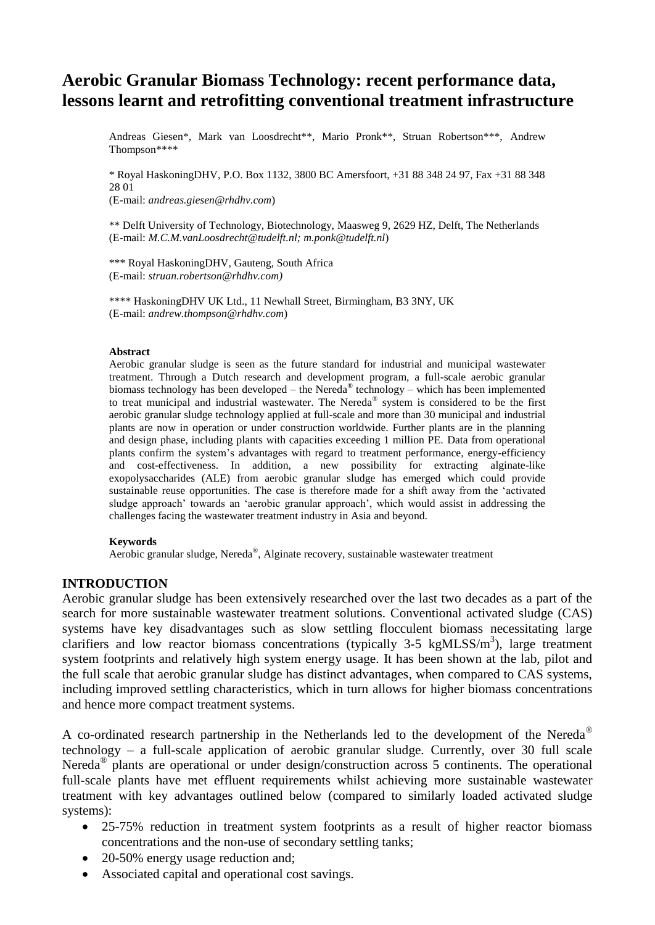# **Aerobic Granular Biomass Technology: recent performance data, lessons learnt and retrofitting conventional treatment infrastructure**

Andreas Giesen\*, Mark van Loosdrecht\*\*, Mario Pronk\*\*, Struan Robertson\*\*\*, Andrew Thompson\*\*\*\*

\* Royal HaskoningDHV, P.O. Box 1132, 3800 BC Amersfoort, +31 88 348 24 97, Fax +31 88 348 28 01

(E-mail: *andreas.giesen@rhdhv.com*)

\*\* Delft University of Technology, Biotechnology, Maasweg 9, 2629 HZ, Delft, The Netherlands (E-mail: *M.C.M.vanLoosdrecht@tudelft.nl; m.ponk@tudelft.nl*)

\*\*\* Royal HaskoningDHV, Gauteng, South Africa (E-mail: *[struan.robertson@rhdhv.com\)](mailto:struan.robertson@rhdhv.com)*

\*\*\*\* HaskoningDHV UK Ltd., 11 Newhall Street, Birmingham, B3 3NY, UK (E-mail: *andrew.thompson@rhdhv.com*)

#### **Abstract**

Aerobic granular sludge is seen as the future standard for industrial and municipal wastewater treatment. Through a Dutch research and development program, a full-scale aerobic granular biomass technology has been developed – the Nereda® technology – which has been implemented to treat municipal and industrial wastewater. The Nereda® system is considered to be the first aerobic granular sludge technology applied at full-scale and more than 30 municipal and industrial plants are now in operation or under construction worldwide. Further plants are in the planning and design phase, including plants with capacities exceeding 1 million PE. Data from operational plants confirm the system's advantages with regard to treatment performance, energy-efficiency and cost-effectiveness. In addition, a new possibility for extracting alginate-like exopolysaccharides (ALE) from aerobic granular sludge has emerged which could provide sustainable reuse opportunities. The case is therefore made for a shift away from the 'activated sludge approach' towards an 'aerobic granular approach', which would assist in addressing the challenges facing the wastewater treatment industry in Asia and beyond.

#### **Keywords**

Aerobic granular sludge, Nereda®, Alginate recovery, sustainable wastewater treatment

#### **INTRODUCTION**

Aerobic granular sludge has been extensively researched over the last two decades as a part of the search for more sustainable wastewater treatment solutions. Conventional activated sludge (CAS) systems have key disadvantages such as slow settling flocculent biomass necessitating large clarifiers and low reactor biomass concentrations (typically 3-5 kgMLSS/m<sup>3</sup>), large treatment system footprints and relatively high system energy usage. It has been shown at the lab, pilot and the full scale that aerobic granular sludge has distinct advantages, when compared to CAS systems, including improved settling characteristics, which in turn allows for higher biomass concentrations and hence more compact treatment systems.

A co-ordinated research partnership in the Netherlands led to the development of the Nereda® technology – a full-scale application of aerobic granular sludge. Currently, over 30 full scale Nereda<sup>®</sup> plants are operational or under design/construction across 5 continents. The operational full-scale plants have met effluent requirements whilst achieving more sustainable wastewater treatment with key advantages outlined below (compared to similarly loaded activated sludge systems):

- 25-75% reduction in treatment system footprints as a result of higher reactor biomass concentrations and the non-use of secondary settling tanks;
- 20-50% energy usage reduction and;
- Associated capital and operational cost savings.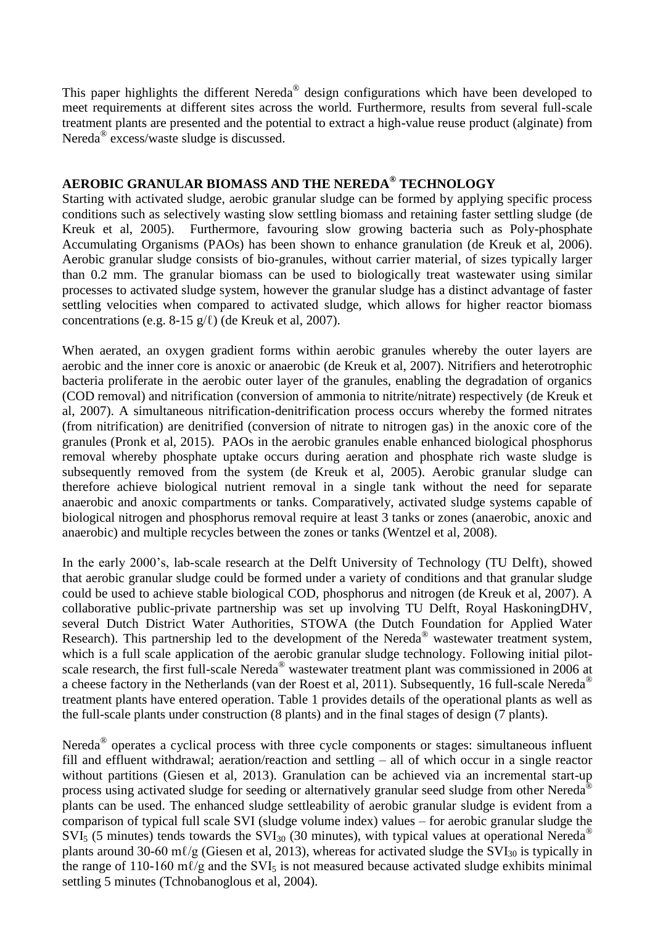This paper highlights the different Nereda® design configurations which have been developed to meet requirements at different sites across the world. Furthermore, results from several full-scale treatment plants are presented and the potential to extract a high-value reuse product (alginate) from Nereda® excess/waste sludge is discussed.

### **AEROBIC GRANULAR BIOMASS AND THE NEREDA® TECHNOLOGY**

Starting with activated sludge, aerobic granular sludge can be formed by applying specific process conditions such as selectively wasting slow settling biomass and retaining faster settling sludge (de Kreuk et al, 2005). Furthermore, favouring slow growing bacteria such as Poly-phosphate Accumulating Organisms (PAOs) has been shown to enhance granulation (de Kreuk et al, 2006). Aerobic granular sludge consists of bio-granules, without carrier material, of sizes typically larger than 0.2 mm. The granular biomass can be used to biologically treat wastewater using similar processes to activated sludge system, however the granular sludge has a distinct advantage of faster settling velocities when compared to activated sludge, which allows for higher reactor biomass concentrations (e.g.  $8-15$  g/ℓ) (de Kreuk et al, 2007).

When aerated, an oxygen gradient forms within aerobic granules whereby the outer layers are aerobic and the inner core is anoxic or anaerobic (de Kreuk et al, 2007). Nitrifiers and heterotrophic bacteria proliferate in the aerobic outer layer of the granules, enabling the degradation of organics (COD removal) and nitrification (conversion of ammonia to nitrite/nitrate) respectively (de Kreuk et al, 2007). A simultaneous nitrification-denitrification process occurs whereby the formed nitrates (from nitrification) are denitrified (conversion of nitrate to nitrogen gas) in the anoxic core of the granules (Pronk et al, 2015). PAOs in the aerobic granules enable enhanced biological phosphorus removal whereby phosphate uptake occurs during aeration and phosphate rich waste sludge is subsequently removed from the system (de Kreuk et al, 2005). Aerobic granular sludge can therefore achieve biological nutrient removal in a single tank without the need for separate anaerobic and anoxic compartments or tanks. Comparatively, activated sludge systems capable of biological nitrogen and phosphorus removal require at least 3 tanks or zones (anaerobic, anoxic and anaerobic) and multiple recycles between the zones or tanks (Wentzel et al, 2008).

In the early 2000's, lab-scale research at the Delft University of Technology (TU Delft), showed that aerobic granular sludge could be formed under a variety of conditions and that granular sludge could be used to achieve stable biological COD, phosphorus and nitrogen (de Kreuk et al, 2007). A collaborative public-private partnership was set up involving TU Delft, Royal HaskoningDHV, several Dutch District Water Authorities, STOWA (the Dutch Foundation for Applied Water Research). This partnership led to the development of the Nereda<sup>®</sup> wastewater treatment system, which is a full scale application of the aerobic granular sludge technology. Following initial pilotscale research, the first full-scale Nereda<sup>®</sup> wastewater treatment plant was commissioned in 2006 at a cheese factory in the Netherlands (van der Roest et al, 2011). Subsequently, 16 full-scale Nereda® treatment plants have entered operation. Table 1 provides details of the operational plants as well as the full-scale plants under construction (8 plants) and in the final stages of design (7 plants).

Nereda<sup>®</sup> operates a cyclical process with three cycle components or stages: simultaneous influent fill and effluent withdrawal; aeration/reaction and settling – all of which occur in a single reactor without partitions (Giesen et al, 2013). Granulation can be achieved via an incremental start-up process using activated sludge for seeding or alternatively granular seed sludge from other Nereda® plants can be used. The enhanced sludge settleability of aerobic granular sludge is evident from a comparison of typical full scale SVI (sludge volume index) values – for aerobic granular sludge the  $\text{SVI}_5$  (5 minutes) tends towards the SVI<sub>30</sub> (30 minutes), with typical values at operational Nereda<sup>®</sup> plants around 30-60 m $\ell$ /g (Giesen et al, 2013), whereas for activated sludge the SVI<sub>30</sub> is typically in the range of 110-160 m $\ell$ /g and the SVI<sub>5</sub> is not measured because activated sludge exhibits minimal settling 5 minutes (Tchnobanoglous et al, 2004).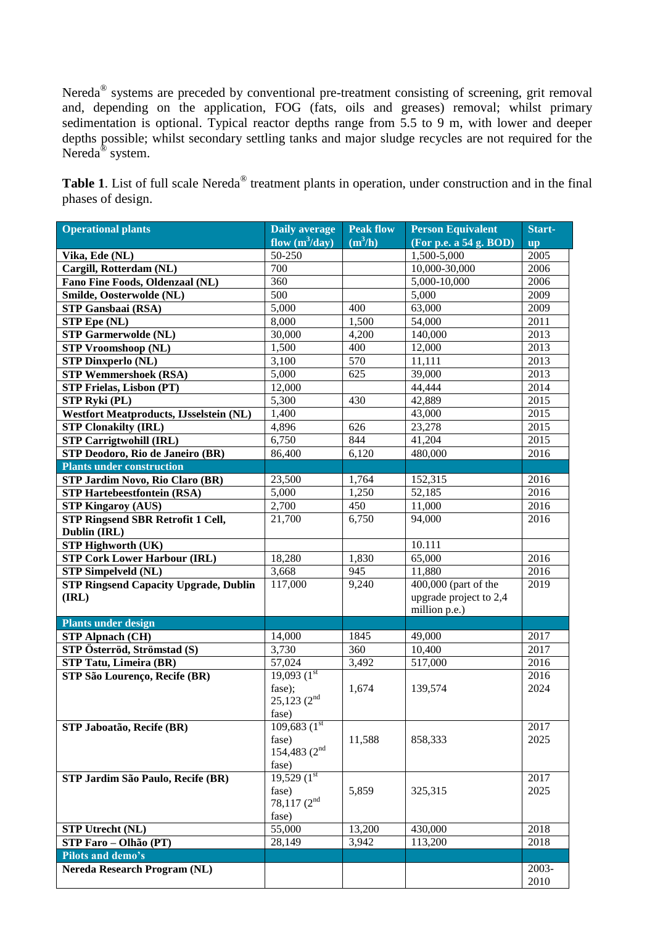Nereda<sup>®</sup> systems are preceded by conventional pre-treatment consisting of screening, grit removal and, depending on the application, FOG (fats, oils and greases) removal; whilst primary sedimentation is optional. Typical reactor depths range from 5.5 to 9 m, with lower and deeper depths possible; whilst secondary settling tanks and major sludge recycles are not required for the Nereda<sup>®</sup> system.

Table 1. List of full scale Nereda<sup>®</sup> treatment plants in operation, under construction and in the final phases of design.

| <b>Operational plants</b>                      | <b>Daily average</b>       | <b>Peak flow</b> | <b>Person Equivalent</b> | Start-       |
|------------------------------------------------|----------------------------|------------------|--------------------------|--------------|
|                                                | flow $(m^3/day)$           | $(m^3/h)$        | (For p.e. a 54 g. BOD)   | <b>up</b>    |
| Vika, Ede (NL)                                 | 50-250                     |                  | $1,500 - 5,000$          | 2005         |
| Cargill, Rotterdam (NL)                        | 700                        |                  | 10,000-30,000            | 2006         |
| Fano Fine Foods, Oldenzaal (NL)                | 360                        |                  | 5,000-10,000             | 2006         |
| Smilde, Oosterwolde (NL)                       | 500                        |                  | 5,000                    | 2009         |
| <b>STP Gansbaai (RSA)</b>                      | 5,000                      | 400              | 63,000                   | 2009         |
| STP Epe (NL)                                   | 8,000                      | 1,500            | 54,000                   | 2011         |
| <b>STP Garmerwolde (NL)</b>                    | 30,000                     | 4,200            | 140,000                  | 2013         |
| <b>STP Vroomshoop (NL)</b>                     | 1,500                      | 400              | 12,000                   | 2013         |
| <b>STP Dinxperlo (NL)</b>                      | 3,100                      | 570              | 11,111                   | 2013         |
| <b>STP Wemmershoek (RSA)</b>                   | 5,000                      | 625              | 39,000                   | 2013         |
| STP Frielas, Lisbon (PT)                       | 12,000                     |                  | 44,444                   | 2014         |
| STP Ryki (PL)                                  | 5,300                      | 430              | 42,889                   | 2015         |
| <b>Westfort Meatproducts, IJsselstein (NL)</b> | 1,400                      |                  | 43,000                   | 2015         |
| <b>STP Clonakilty (IRL)</b>                    | 4,896                      | 626              | 23,278                   | 2015         |
| <b>STP Carrigtwohill (IRL)</b>                 | 6,750                      | 844              | 41,204                   | 2015         |
| STP Deodoro, Rio de Janeiro (BR)               | 86,400                     | 6,120            | 480,000                  | 2016         |
| <b>Plants under construction</b>               |                            |                  |                          |              |
| STP Jardim Novo, Rio Claro (BR)                | 23,500                     | 1,764            | 152,315                  | 2016         |
| <b>STP Hartebeestfontein (RSA)</b>             | 5,000                      | 1,250            | 52,185                   | 2016         |
| <b>STP Kingaroy (AUS)</b>                      | 2,700                      | 450              | 11,000                   | 2016         |
| <b>STP Ringsend SBR Retrofit 1 Cell,</b>       | 21,700                     | 6,750            | 94,000                   | 2016         |
| Dublin (IRL)                                   |                            |                  |                          |              |
| <b>STP Highworth (UK)</b>                      |                            |                  | 10.111                   |              |
| <b>STP Cork Lower Harbour (IRL)</b>            | 18,280                     | 1,830            | 65,000                   | 2016         |
| <b>STP Simpelveld</b> $(NL)$                   | 3,668                      | 945              | 11,880                   | 2016         |
| <b>STP Ringsend Capacity Upgrade, Dublin</b>   | 117,000                    | 9,240            | 400,000 (part of the     | 2019         |
| (IRL)                                          |                            |                  | upgrade project to 2,4   |              |
|                                                |                            |                  | million p.e.)            |              |
| <b>Plants under design</b>                     |                            |                  |                          |              |
| <b>STP Alpnach (CH)</b>                        | 14,000                     | 1845             | 49,000                   | 2017         |
| STP Österröd, Strömstad (S)                    | 3,730                      | 360              | 10,400<br>517,000        | 2017         |
| STP Tatu, Limeira (BR)                         | 57,024<br>$19,093$ $(1st)$ | 3,492            |                          | 2016<br>2016 |
| STP São Lourenço, Recife (BR)                  | fase);                     | 1,674            | 139,574                  | 2024         |
|                                                | $25,123$ $(2nd$            |                  |                          |              |
|                                                | fase)                      |                  |                          |              |
| STP Jaboatão, Recife (BR)                      | $109,683(1^{st}$           |                  |                          | 2017         |
|                                                | fase)                      | 11,588           | 858,333                  | 2025         |
|                                                | 154,483 $(2^{nd}$          |                  |                          |              |
|                                                | fase)                      |                  |                          |              |
| STP Jardim São Paulo, Recife (BR)              | $19,529$ $(1st$            |                  |                          | 2017         |
|                                                | fase)                      | 5,859            | 325,315                  | 2025         |
|                                                | 78,117 $(2^{nd}$           |                  |                          |              |
|                                                | fase)                      |                  |                          |              |
| <b>STP Utrecht (NL)</b>                        | 55,000                     | 13,200           | 430,000                  | 2018         |
| STP Faro - Olhão (PT)                          | 28,149                     | 3,942            | 113,200                  | 2018         |
| Pilots and demo's                              |                            |                  |                          |              |
| <b>Nereda Research Program (NL)</b>            |                            |                  |                          | 2003-        |
|                                                |                            |                  |                          | 2010         |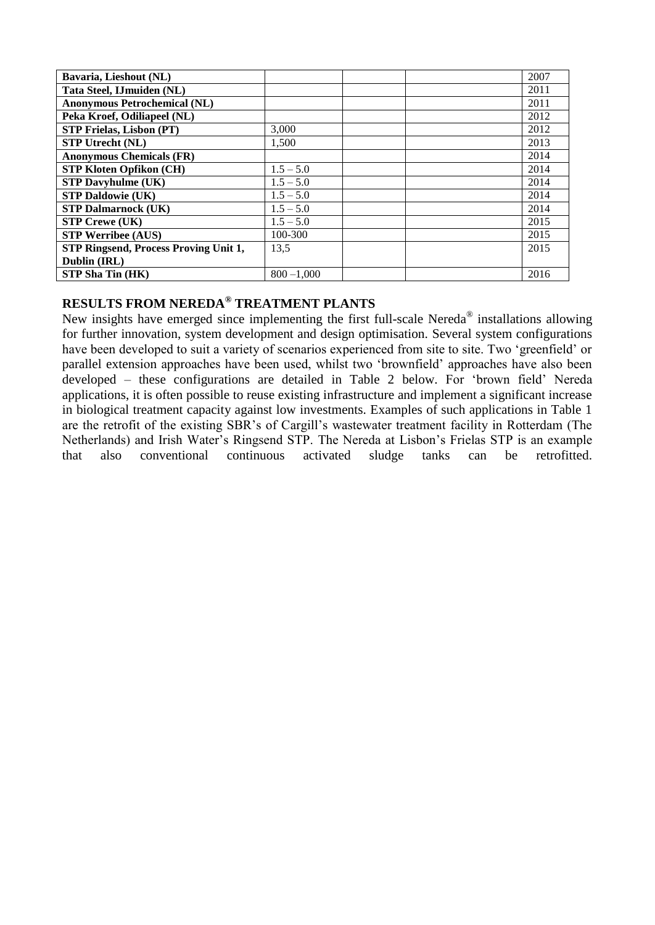| Bavaria, Lieshout (NL)                |               | 2007 |
|---------------------------------------|---------------|------|
| Tata Steel, IJmuiden (NL)             |               | 2011 |
| <b>Anonymous Petrochemical (NL)</b>   |               | 2011 |
| Peka Kroef, Odiliapeel (NL)           |               | 2012 |
| <b>STP Frielas, Lisbon (PT)</b>       | 3,000         | 2012 |
| <b>STP Utrecht (NL)</b>               | 1.500         | 2013 |
| <b>Anonymous Chemicals (FR)</b>       |               | 2014 |
| <b>STP Kloten Opfikon (CH)</b>        | $1.5 - 5.0$   | 2014 |
| <b>STP Davyhulme (UK)</b>             | $1.5 - 5.0$   | 2014 |
| <b>STP Daldowie (UK)</b>              | $1.5 - 5.0$   | 2014 |
| <b>STP Dalmarnock (UK)</b>            | $1.5 - 5.0$   | 2014 |
| <b>STP Crewe (UK)</b>                 | $1.5 - 5.0$   | 2015 |
| <b>STP Werribee (AUS)</b>             | 100-300       | 2015 |
| STP Ringsend, Process Proving Unit 1, | 13,5          | 2015 |
| Dublin (IRL)                          |               |      |
| STP Sha Tin (HK)                      | $800 - 1,000$ | 2016 |

## **RESULTS FROM NEREDA® TREATMENT PLANTS**

New insights have emerged since implementing the first full-scale Nereda® installations allowing for further innovation, system development and design optimisation. Several system configurations have been developed to suit a variety of scenarios experienced from site to site. Two 'greenfield' or parallel extension approaches have been used, whilst two 'brownfield' approaches have also been developed – these configurations are detailed in Table 2 below. For 'brown field' Nereda applications, it is often possible to reuse existing infrastructure and implement a significant increase in biological treatment capacity against low investments. Examples of such applications in Table 1 are the retrofit of the existing SBR's of Cargill's wastewater treatment facility in Rotterdam (The Netherlands) and Irish Water's Ringsend STP. The Nereda at Lisbon's Frielas STP is an example that also conventional continuous activated sludge tanks can be retrofitted.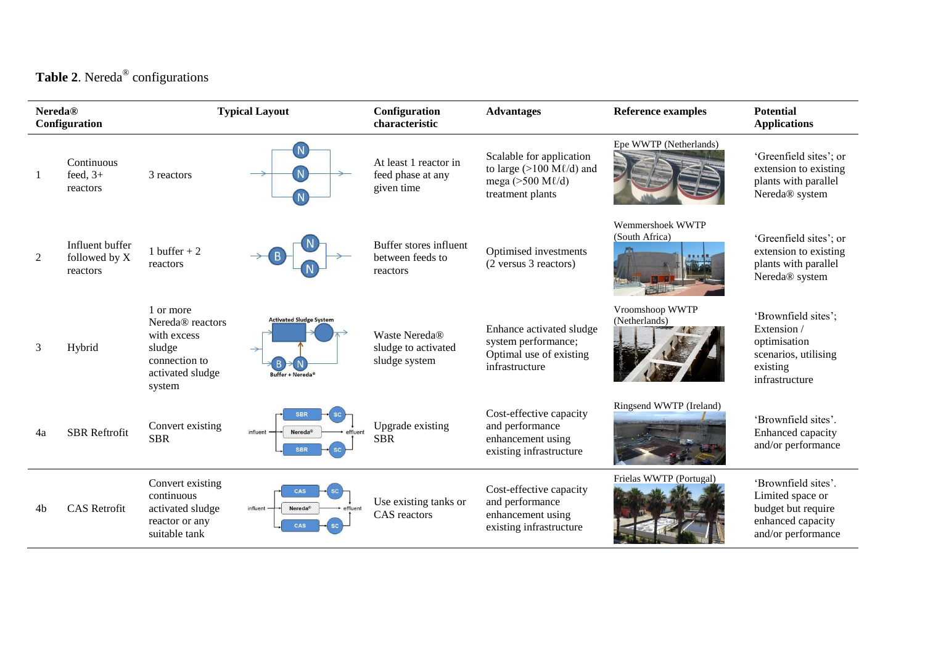## **Table 2**. Nereda® configurations

|                | <b>Nereda®</b><br>Configuration              |                                                                                                                   | <b>Typical Layout</b>                                | Configuration<br>characteristic                          | <b>Advantages</b>                                                                                                          | <b>Reference examples</b>          | <b>Potential</b><br><b>Applications</b>                                                                  |
|----------------|----------------------------------------------|-------------------------------------------------------------------------------------------------------------------|------------------------------------------------------|----------------------------------------------------------|----------------------------------------------------------------------------------------------------------------------------|------------------------------------|----------------------------------------------------------------------------------------------------------|
|                | Continuous<br>feed, $3+$<br>reactors         | 3 reactors                                                                                                        | N                                                    | At least 1 reactor in<br>feed phase at any<br>given time | Scalable for application<br>to large $(>100 \text{ M}\ell/\text{d})$ and<br>mega ( $>500$ M $\ell$ /d)<br>treatment plants | Epe WWTP (Netherlands)             | 'Greenfield sites'; or<br>extension to existing<br>plants with parallel<br>Nereda <sup>®</sup> system    |
| 2              | Influent buffer<br>followed by X<br>reactors | 1 buffer $+2$<br>reactors                                                                                         |                                                      | Buffer stores influent<br>between feeds to<br>reactors   | Optimised investments<br>(2 versus 3 reactors)                                                                             | Wemmershoek WWTP<br>(South Africa) | 'Greenfield sites'; or<br>extension to existing<br>plants with parallel<br>Nereda <sup>®</sup> system    |
| 3              | Hybrid                                       | 1 or more<br>Nereda <sup>®</sup> reactors<br>with excess<br>sludge<br>connection to<br>activated sludge<br>system | <b>Activated Sludge System</b><br>Buffer + Nereda®   | Waste Nereda®<br>sludge to activated<br>sludge system    | Enhance activated sludge<br>system performance;<br>Optimal use of existing<br>infrastructure                               | Vroomshoop WWTP<br>(Netherlands)   | 'Brownfield sites';<br>Extension /<br>optimisation<br>scenarios, utilising<br>existing<br>infrastructure |
| 4a             | <b>SBR</b> Reftrofit                         | Convert existing<br><b>SBR</b>                                                                                    | <b>SBR</b><br>Nereda <sup>®</sup><br>influent<br>SRR | Upgrade existing<br><b>SBR</b>                           | Cost-effective capacity<br>and performance<br>enhancement using<br>existing infrastructure                                 | Ringsend WWTP (Ireland)            | 'Brownfield sites'.<br>Enhanced capacity<br>and/or performance                                           |
| 4 <sub>b</sub> | <b>CAS</b> Retrofit                          | Convert existing<br>continuous<br>activated sludge<br>reactor or any<br>suitable tank                             | CAS<br>Nereda <sup>®</sup><br>influent<br>CAS        | Use existing tanks or<br>CAS reactors                    | Cost-effective capacity<br>and performance<br>enhancement using<br>existing infrastructure                                 | Frielas WWTP (Portugal)            | 'Brownfield sites'.<br>Limited space or<br>budget but require<br>enhanced capacity<br>and/or performance |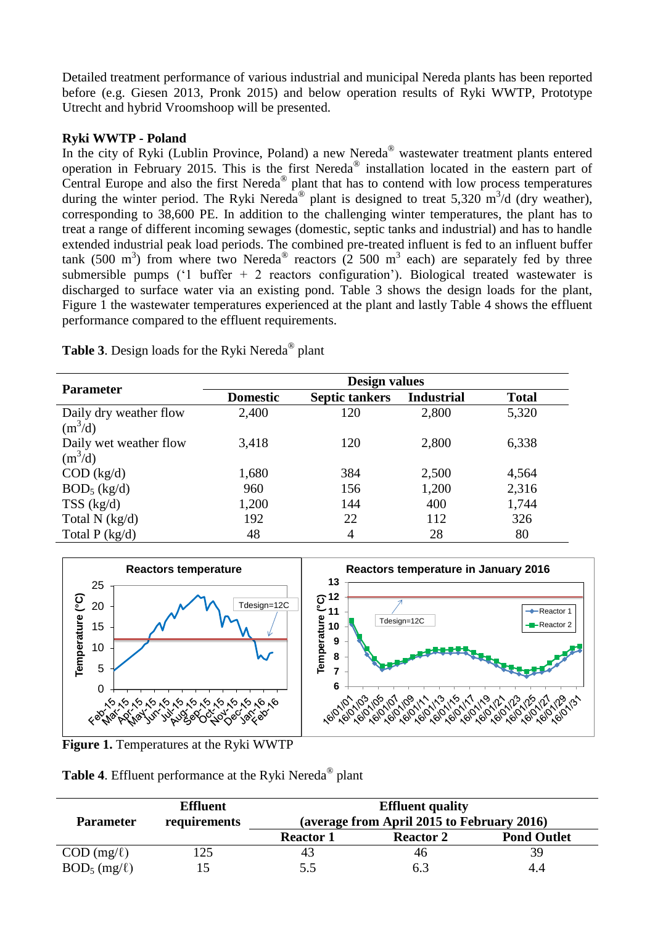Detailed treatment performance of various industrial and municipal Nereda plants has been reported before (e.g. Giesen 2013, Pronk 2015) and below operation results of Ryki WWTP, Prototype Utrecht and hybrid Vroomshoop will be presented.

#### **Ryki WWTP - Poland**

In the city of Ryki (Lublin Province, Poland) a new Nereda<sup>®</sup> wastewater treatment plants entered operation in February 2015. This is the first Nereda® installation located in the eastern part of Central Europe and also the first Nereda® plant that has to contend with low process temperatures during the winter period. The Ryki Nereda<sup>®</sup> plant is designed to treat 5,320 m<sup>3</sup>/d (dry weather), corresponding to 38,600 PE. In addition to the challenging winter temperatures, the plant has to treat a range of different incoming sewages (domestic, septic tanks and industrial) and has to handle extended industrial peak load periods. The combined pre-treated influent is fed to an influent buffer tank (500 m<sup>3</sup>) from where two Nereda<sup>®</sup> reactors (2 500 m<sup>3</sup> each) are separately fed by three submersible pumps ( $\dot{1}$  buffer + 2 reactors configuration). Biological treated wastewater is discharged to surface water via an existing pond. Table 3 shows the design loads for the plant, Figure 1 the wastewater temperatures experienced at the plant and lastly Table 4 shows the effluent performance compared to the effluent requirements.

|                        | Design values   |                       |                   |              |  |  |
|------------------------|-----------------|-----------------------|-------------------|--------------|--|--|
| <b>Parameter</b>       | <b>Domestic</b> | <b>Septic tankers</b> | <b>Industrial</b> | <b>Total</b> |  |  |
| Daily dry weather flow | 2,400           | 120                   | 2,800             | 5,320        |  |  |
| $(m^3/d)$              |                 |                       |                   |              |  |  |
| Daily wet weather flow | 3,418           | 120                   | 2,800             | 6,338        |  |  |
| $(m^3/d)$              |                 |                       |                   |              |  |  |
| COD (kg/d)             | 1,680           | 384                   | 2,500             | 4,564        |  |  |
| $BOD_5$ (kg/d)         | 960             | 156                   | 1,200             | 2,316        |  |  |
| TSS (kg/d)             | 1,200           | 144                   | 400               | 1,744        |  |  |
| Total N $(kg/d)$       | 192             | 22                    | 112               | 326          |  |  |
| Total $P$ (kg/d)       | 48              | 4                     | 28                | 80           |  |  |

**Table 3**. Design loads for the Ryki Nereda® plant



**Figure 1.** Temperatures at the Ryki WWTP

**Table 4**. Effluent performance at the Ryki Nereda® plant

| <b>Parameter</b>      | <b>Effluent</b><br>requirements | <b>Effluent quality</b><br>(average from April 2015 to February 2016) |                  |                    |
|-----------------------|---------------------------------|-----------------------------------------------------------------------|------------------|--------------------|
|                       |                                 | <b>Reactor 1</b>                                                      | <b>Reactor 2</b> | <b>Pond Outlet</b> |
| $COD$ (mg/ $\ell$ )   | 25                              | 43                                                                    | 46               | 39                 |
| $BOD_5$ (mg/ $\ell$ ) |                                 | 5.5                                                                   | 6.3              | 4.4                |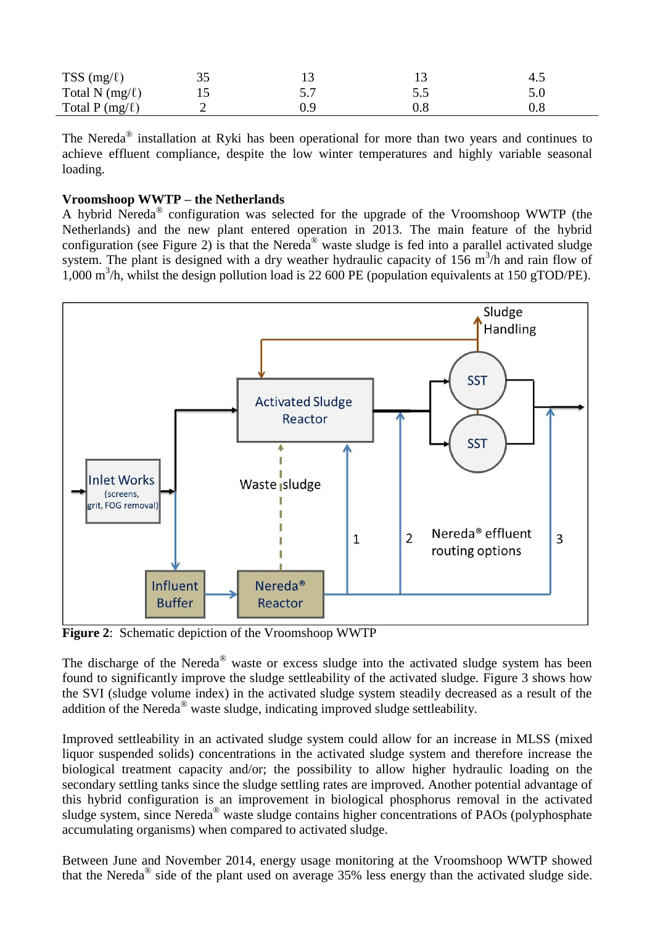| TSS $(mg/\ell)$     | эJ |     |     | 4.5       |
|---------------------|----|-----|-----|-----------|
| Total N $(mg/\ell)$ | IJ |     | 5.5 | 5.0       |
| Total P $(mg/\ell)$ |    | 0.9 | ს.8 | $\rm 0.8$ |

The Nereda<sup>®</sup> installation at Ryki has been operational for more than two years and continues to achieve effluent compliance, despite the low winter temperatures and highly variable seasonal loading.

### **Vroomshoop WWTP – the Netherlands**

A hybrid Nereda® configuration was selected for the upgrade of the Vroomshoop WWTP (the Netherlands) and the new plant entered operation in 2013. The main feature of the hybrid configuration (see Figure 2) is that the Nereda® waste sludge is fed into a parallel activated sludge system. The plant is designed with a dry weather hydraulic capacity of  $156 \text{ m}^3/\text{h}$  and rain flow of 1,000 m<sup>3</sup>/h, whilst the design pollution load is 22 600 PE (population equivalents at 150 gTOD/PE).



**Figure 2**: Schematic depiction of the Vroomshoop WWTP

The discharge of the Nereda<sup>®</sup> waste or excess sludge into the activated sludge system has been found to significantly improve the sludge settleability of the activated sludge. Figure 3 shows how the SVI (sludge volume index) in the activated sludge system steadily decreased as a result of the addition of the Nereda® waste sludge, indicating improved sludge settleability.

Improved settleability in an activated sludge system could allow for an increase in MLSS (mixed liquor suspended solids) concentrations in the activated sludge system and therefore increase the biological treatment capacity and/or; the possibility to allow higher hydraulic loading on the secondary settling tanks since the sludge settling rates are improved. Another potential advantage of this hybrid configuration is an improvement in biological phosphorus removal in the activated sludge system, since Nereda® waste sludge contains higher concentrations of PAOs (polyphosphate accumulating organisms) when compared to activated sludge.

Between June and November 2014, energy usage monitoring at the Vroomshoop WWTP showed that the Nereda® side of the plant used on average 35% less energy than the activated sludge side.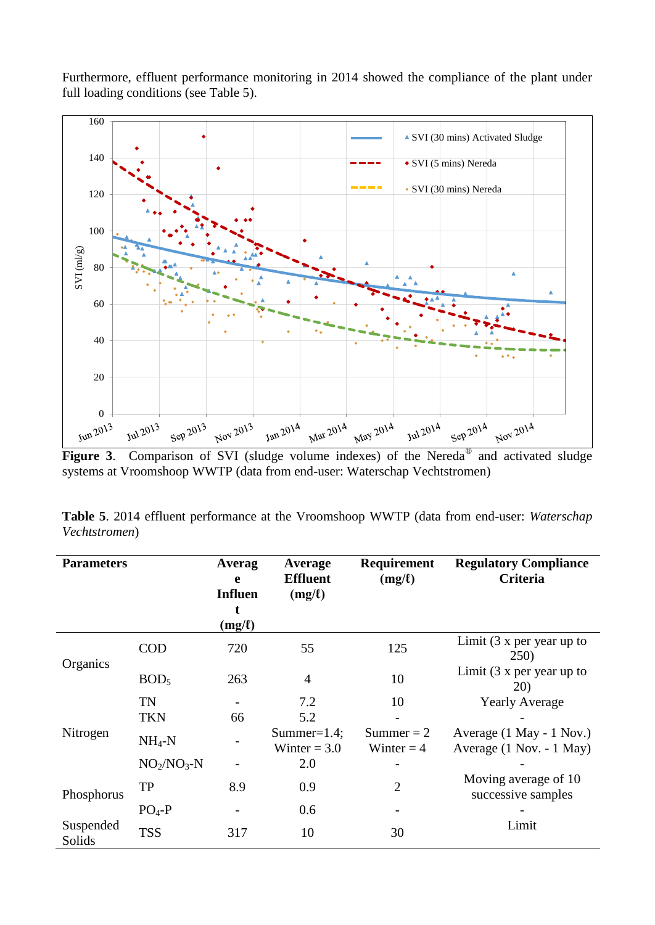Furthermore, effluent performance monitoring in 2014 showed the compliance of the plant under full loading conditions (see Table 5).



Figure 3. Comparison of SVI (sludge volume indexes) of the Nereda<sup>®</sup> and activated sludge systems at Vroomshoop WWTP (data from end-user: Waterschap Vechtstromen)

| <b>Parameters</b>   |                  | Averag<br>e<br><b>Influen</b><br>t<br>$(mg/\ell)$ | Average<br><b>Effluent</b><br>$(mg/\ell)$ | <b>Requirement</b><br>$(mg/\ell)$ | <b>Regulatory Compliance</b><br><b>Criteria</b>      |
|---------------------|------------------|---------------------------------------------------|-------------------------------------------|-----------------------------------|------------------------------------------------------|
|                     | <b>COD</b>       | 720                                               | 55                                        | 125                               | Limit $(3 \times per \text{ year up to})$<br>250)    |
| Organics            | BOD <sub>5</sub> | 263                                               | $\overline{4}$                            | 10                                | Limit $(3 \times per \text{ year up to})$<br>20)     |
|                     | TN               |                                                   | 7.2                                       | 10                                | <b>Yearly Average</b>                                |
|                     | <b>TKN</b>       | 66                                                | 5.2                                       |                                   |                                                      |
| Nitrogen            | $NH_4-N$         |                                                   | $Summer=1.4$ ;<br>Winter = $3.0$          | Summer $= 2$<br>Winter $=$ 4      | Average (1 May - 1 Nov.)<br>Average (1 Nov. - 1 May) |
|                     | $NO2/NO3-N$      |                                                   | 2.0                                       |                                   |                                                      |
| Phosphorus          | TP               | 8.9                                               | 0.9                                       | $\overline{2}$                    | Moving average of 10<br>successive samples           |
|                     | $PO4-P$          |                                                   | 0.6                                       |                                   |                                                      |
| Suspended<br>Solids | <b>TSS</b>       | 317                                               | 10                                        | 30                                | Limit                                                |

**Table 5**. 2014 effluent performance at the Vroomshoop WWTP (data from end-user: *Waterschap Vechtstromen*)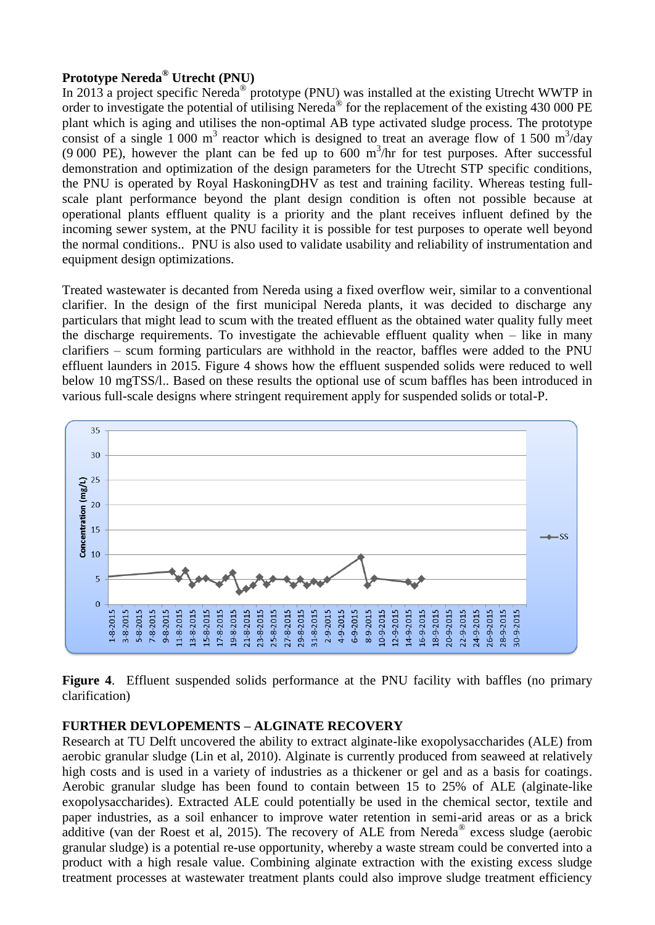## **Prototype Nereda® Utrecht (PNU)**

In 2013 a project specific Nereda® prototype (PNU) was installed at the existing Utrecht WWTP in order to investigate the potential of utilising Nereda® for the replacement of the existing 430 000 PE plant which is aging and utilises the non-optimal AB type activated sludge process. The prototype consist of a single 1 000 m<sup>3</sup> reactor which is designed to treat an average flow of 1 500 m<sup>3</sup>/day (9 000 PE), however the plant can be fed up to  $600 \text{ m}^3/\text{hr}$  for test purposes. After successful demonstration and optimization of the design parameters for the Utrecht STP specific conditions, the PNU is operated by Royal HaskoningDHV as test and training facility. Whereas testing fullscale plant performance beyond the plant design condition is often not possible because at operational plants effluent quality is a priority and the plant receives influent defined by the incoming sewer system, at the PNU facility it is possible for test purposes to operate well beyond the normal conditions.. PNU is also used to validate usability and reliability of instrumentation and equipment design optimizations.

Treated wastewater is decanted from Nereda using a fixed overflow weir, similar to a conventional clarifier. In the design of the first municipal Nereda plants, it was decided to discharge any particulars that might lead to scum with the treated effluent as the obtained water quality fully meet the discharge requirements. To investigate the achievable effluent quality when – like in many clarifiers – scum forming particulars are withhold in the reactor, baffles were added to the PNU effluent launders in 2015. Figure 4 shows how the effluent suspended solids were reduced to well below 10 mgTSS/l.. Based on these results the optional use of scum baffles has been introduced in various full-scale designs where stringent requirement apply for suspended solids or total-P.



Figure 4. Effluent suspended solids performance at the PNU facility with baffles (no primary clarification)

### **FURTHER DEVLOPEMENTS – ALGINATE RECOVERY**

Research at TU Delft uncovered the ability to extract alginate-like exopolysaccharides (ALE) from aerobic granular sludge (Lin et al, 2010). Alginate is currently produced from seaweed at relatively high costs and is used in a variety of industries as a thickener or gel and as a basis for coatings. Aerobic granular sludge has been found to contain between 15 to 25% of ALE (alginate-like exopolysaccharides). Extracted ALE could potentially be used in the chemical sector, textile and paper industries, as a soil enhancer to improve water retention in semi-arid areas or as a brick additive (van der Roest et al, 2015). The recovery of ALE from Nereda<sup>®</sup> excess sludge (aerobic granular sludge) is a potential re-use opportunity, whereby a waste stream could be converted into a product with a high resale value. Combining alginate extraction with the existing excess sludge treatment processes at wastewater treatment plants could also improve sludge treatment efficiency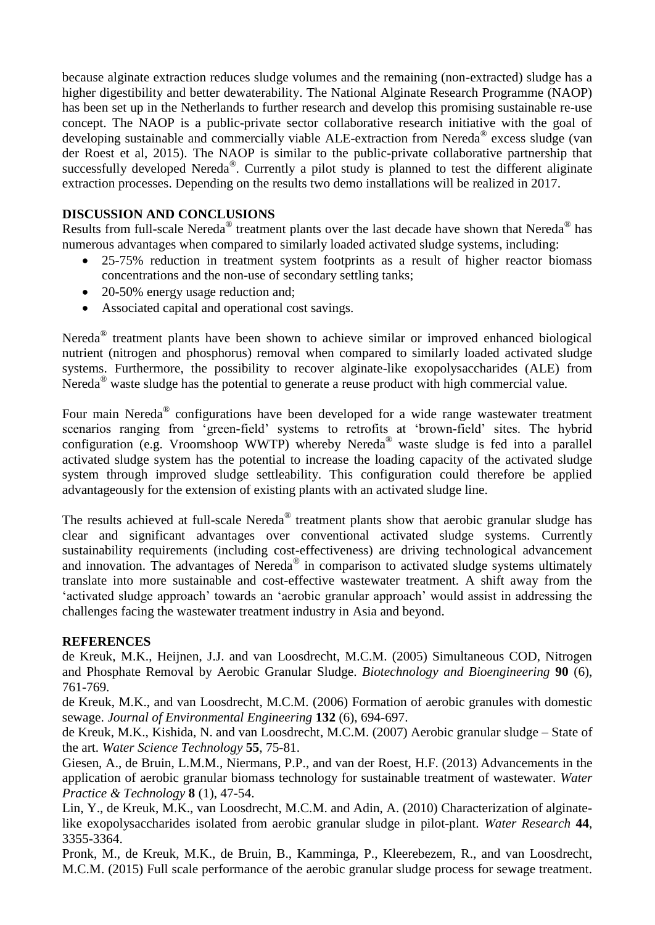because alginate extraction reduces sludge volumes and the remaining (non-extracted) sludge has a higher digestibility and better dewaterability. The National Alginate Research Programme (NAOP) has been set up in the Netherlands to further research and develop this promising sustainable re-use concept. The NAOP is a public-private sector collaborative research initiative with the goal of developing sustainable and commercially viable ALE-extraction from Nereda® excess sludge (van der Roest et al, 2015). The NAOP is similar to the public-private collaborative partnership that successfully developed Nereda®. Currently a pilot study is planned to test the different aliginate extraction processes. Depending on the results two demo installations will be realized in 2017.

### **DISCUSSION AND CONCLUSIONS**

Results from full-scale Nereda® treatment plants over the last decade have shown that Nereda® has numerous advantages when compared to similarly loaded activated sludge systems, including:

- 25-75% reduction in treatment system footprints as a result of higher reactor biomass concentrations and the non-use of secondary settling tanks;
- 20-50% energy usage reduction and;
- Associated capital and operational cost savings.

Nereda<sup>®</sup> treatment plants have been shown to achieve similar or improved enhanced biological nutrient (nitrogen and phosphorus) removal when compared to similarly loaded activated sludge systems. Furthermore, the possibility to recover alginate-like exopolysaccharides (ALE) from Nereda<sup>®</sup> waste sludge has the potential to generate a reuse product with high commercial value.

Four main Nereda® configurations have been developed for a wide range wastewater treatment scenarios ranging from 'green-field' systems to retrofits at 'brown-field' sites. The hybrid configuration (e.g. Vroomshoop WWTP) whereby Nereda<sup>®</sup> waste sludge is fed into a parallel activated sludge system has the potential to increase the loading capacity of the activated sludge system through improved sludge settleability. This configuration could therefore be applied advantageously for the extension of existing plants with an activated sludge line.

The results achieved at full-scale Nereda® treatment plants show that aerobic granular sludge has clear and significant advantages over conventional activated sludge systems. Currently sustainability requirements (including cost-effectiveness) are driving technological advancement and innovation. The advantages of Nereda® in comparison to activated sludge systems ultimately translate into more sustainable and cost-effective wastewater treatment. A shift away from the 'activated sludge approach' towards an 'aerobic granular approach' would assist in addressing the challenges facing the wastewater treatment industry in Asia and beyond.

### **REFERENCES**

de Kreuk, M.K., Heijnen, J.J. and van Loosdrecht, M.C.M. (2005) Simultaneous COD, Nitrogen and Phosphate Removal by Aerobic Granular Sludge. *Biotechnology and Bioengineering* **90** (6), 761-769.

de Kreuk, M.K., and van Loosdrecht, M.C.M. (2006) Formation of aerobic granules with domestic sewage. *Journal of Environmental Engineering* **132** (6), 694-697.

de Kreuk, M.K., Kishida, N. and van Loosdrecht, M.C.M. (2007) Aerobic granular sludge – State of the art. *Water Science Technology* **55**, 75-81.

Giesen, A., de Bruin, L.M.M., Niermans, P.P., and van der Roest, H.F. (2013) Advancements in the application of aerobic granular biomass technology for sustainable treatment of wastewater. *Water Practice & Technology* **8** (1), 47-54.

Lin, Y., de Kreuk, M.K., van Loosdrecht, M.C.M. and Adin, A. (2010) Characterization of alginatelike exopolysaccharides isolated from aerobic granular sludge in pilot-plant. *Water Research* **44**, 3355-3364.

Pronk, M., de Kreuk, M.K., de Bruin, B., Kamminga, P., Kleerebezem, R., and van Loosdrecht, M.C.M. (2015) Full scale performance of the aerobic granular sludge process for sewage treatment.